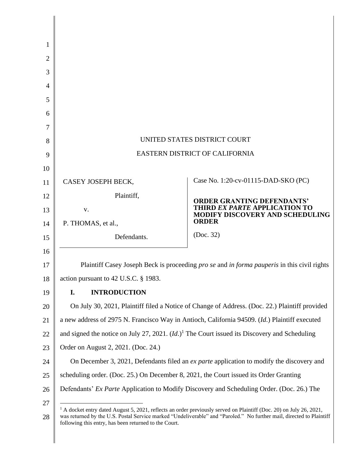| 1              |                                                                                                                                                                                                                                                                                                                 |                                                                           |
|----------------|-----------------------------------------------------------------------------------------------------------------------------------------------------------------------------------------------------------------------------------------------------------------------------------------------------------------|---------------------------------------------------------------------------|
| $\overline{2}$ |                                                                                                                                                                                                                                                                                                                 |                                                                           |
| 3              |                                                                                                                                                                                                                                                                                                                 |                                                                           |
| 4              |                                                                                                                                                                                                                                                                                                                 |                                                                           |
| 5              |                                                                                                                                                                                                                                                                                                                 |                                                                           |
| 6              |                                                                                                                                                                                                                                                                                                                 |                                                                           |
| 7              |                                                                                                                                                                                                                                                                                                                 |                                                                           |
| 8              | UNITED STATES DISTRICT COURT                                                                                                                                                                                                                                                                                    |                                                                           |
| 9              | EASTERN DISTRICT OF CALIFORNIA                                                                                                                                                                                                                                                                                  |                                                                           |
| 10             |                                                                                                                                                                                                                                                                                                                 |                                                                           |
| 11             | CASEY JOSEPH BECK,                                                                                                                                                                                                                                                                                              | Case No. 1:20-cv-01115-DAD-SKO (PC)                                       |
| 12             | Plaintiff,                                                                                                                                                                                                                                                                                                      |                                                                           |
| 13             | V.                                                                                                                                                                                                                                                                                                              | <b>ORDER GRANTING DEFENDANTS'</b><br><b>THIRD EX PARTE APPLICATION TO</b> |
| 14             | P. THOMAS, et al.,                                                                                                                                                                                                                                                                                              | MODIFY DISCOVERY AND SCHEDULING<br><b>ORDER</b>                           |
| 15             | Defendants.                                                                                                                                                                                                                                                                                                     | (Doc. 32)                                                                 |
| 16             |                                                                                                                                                                                                                                                                                                                 |                                                                           |
| 17             | Plaintiff Casey Joseph Beck is proceeding <i>pro se and in forma pauperis</i> in this civil rights                                                                                                                                                                                                              |                                                                           |
| 18             | action pursuant to 42 U.S.C. § 1983.                                                                                                                                                                                                                                                                            |                                                                           |
| 19             | <b>INTRODUCTION</b><br>I.                                                                                                                                                                                                                                                                                       |                                                                           |
| 20             | On July 30, 2021, Plaintiff filed a Notice of Change of Address. (Doc. 22.) Plaintiff provided                                                                                                                                                                                                                  |                                                                           |
| 21             | a new address of 2975 N. Francisco Way in Antioch, California 94509. (Id.) Plaintiff executed                                                                                                                                                                                                                   |                                                                           |
| 22             | and signed the notice on July 27, 2021. $(Id.)1$ The Court issued its Discovery and Scheduling                                                                                                                                                                                                                  |                                                                           |
| 23             | Order on August 2, 2021. (Doc. 24.)                                                                                                                                                                                                                                                                             |                                                                           |
| 24             | On December 3, 2021, Defendants filed an <i>ex parte</i> application to modify the discovery and                                                                                                                                                                                                                |                                                                           |
| 25             | scheduling order. (Doc. 25.) On December 8, 2021, the Court issued its Order Granting                                                                                                                                                                                                                           |                                                                           |
| 26             | Defendants' Ex Parte Application to Modify Discovery and Scheduling Order. (Doc. 26.) The                                                                                                                                                                                                                       |                                                                           |
| 27<br>28       | <sup>1</sup> A docket entry dated August 5, 2021, reflects an order previously served on Plaintiff (Doc. 20) on July 26, 2021,<br>was returned by the U.S. Postal Service marked "Undeliverable" and "Paroled." No further mail, directed to Plaintiff<br>following this entry, has been returned to the Court. |                                                                           |

 $\mathsf{I}$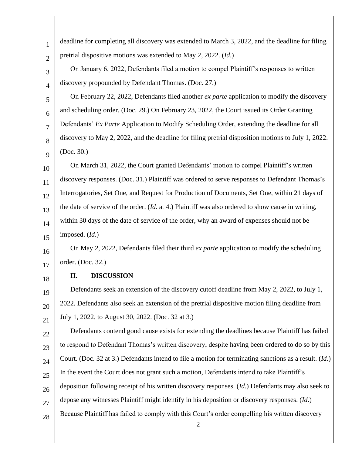| $\mathbf{1}$   | deadline for completing all discovery was extended to March 3, 2022, and the deadline for filing                  |  |  |
|----------------|-------------------------------------------------------------------------------------------------------------------|--|--|
| $\overline{2}$ | pretrial dispositive motions was extended to May 2, 2022. (Id.)                                                   |  |  |
| 3              | On January 6, 2022, Defendants filed a motion to compel Plaintiff's responses to written                          |  |  |
| $\overline{4}$ | discovery propounded by Defendant Thomas. (Doc. 27.)                                                              |  |  |
| 5              | On February 22, 2022, Defendants filed another <i>ex parte</i> application to modify the discovery                |  |  |
| 6              | and scheduling order. (Doc. 29.) On February 23, 2022, the Court issued its Order Granting                        |  |  |
| 7              | Defendants' Ex Parte Application to Modify Scheduling Order, extending the deadline for all                       |  |  |
| 8              | discovery to May 2, 2022, and the deadline for filing pretrial disposition motions to July 1, 2022.               |  |  |
| 9              | (Doc. 30.)                                                                                                        |  |  |
| 10             | On March 31, 2022, the Court granted Defendants' motion to compel Plaintiff's written                             |  |  |
| 11             | discovery responses. (Doc. 31.) Plaintiff was ordered to serve responses to Defendant Thomas's                    |  |  |
| 12             | Interrogatories, Set One, and Request for Production of Documents, Set One, within 21 days of                     |  |  |
| 13             | the date of service of the order. $(Id.$ at 4.) Plaintiff was also ordered to show cause in writing,              |  |  |
| 14             | within 30 days of the date of service of the order, why an award of expenses should not be                        |  |  |
| 15             | imposed. (Id.)                                                                                                    |  |  |
| 16             | On May 2, 2022, Defendants filed their third <i>ex parte</i> application to modify the scheduling                 |  |  |
| 17             | order. (Doc. 32.)                                                                                                 |  |  |
| 18             | П.<br><b>DISCUSSION</b>                                                                                           |  |  |
| 19             | Defendants seek an extension of the discovery cutoff deadline from May 2, 2022, to July 1,                        |  |  |
| 20             | 2022. Defendants also seek an extension of the pretrial dispositive motion filing deadline from                   |  |  |
| 21             | July 1, 2022, to August 30, 2022. (Doc. 32 at 3.)                                                                 |  |  |
| 22             | Defendants contend good cause exists for extending the deadlines because Plaintiff has failed                     |  |  |
| 23             | to respond to Defendant Thomas's written discovery, despite having been ordered to do so by this                  |  |  |
| 24             | Court. (Doc. 32 at 3.) Defendants intend to file a motion for terminating sanctions as a result. (Id.)            |  |  |
| 25             | In the event the Court does not grant such a motion, Defendants intend to take Plaintiff's                        |  |  |
| 26             | deposition following receipt of his written discovery responses. (Id.) Defendants may also seek to                |  |  |
| 27             | depose any witnesses Plaintiff might identify in his deposition or discovery responses. (Id.)                     |  |  |
| 28             | Because Plaintiff has failed to comply with this Court's order compelling his written discovery<br>$\overline{2}$ |  |  |